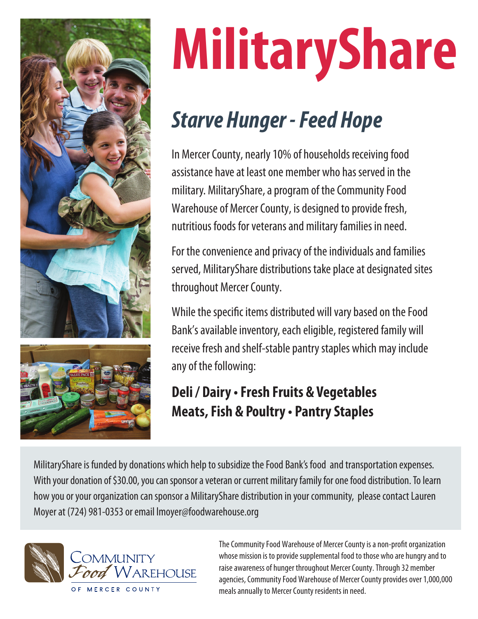

# **MilitaryShare**

# *Starve Hunger - Feed Hope*

In Mercer County, nearly 10% of households receiving food assistance have at least one member who has served in the military. MilitaryShare, a program of the Community Food Warehouse of Mercer County, is designed to provide fresh, nutritious foods for veterans and military families in need.

For the convenience and privacy of the individuals and families served, MilitaryShare distributions take place at designated sites throughout Mercer County.

While the specific items distributed will vary based on the Food Bank's available inventory, each eligible, registered family will receive fresh and shelf-stable pantry staples which may include any of the following:

## **Deli / Dairy • Fresh Fruits & Vegetables Meats, Fish & Poultry • Pantry Staples**

MilitaryShare is funded by donations which help to subsidize the Food Bank's food and transportation expenses. With your donation of \$30.00, you can sponsor a veteran or current military family for one food distribution. To learn how you or your organization can sponsor a MilitaryShare distribution in your community, please contact Lauren Moyer at (724) 981-0353 or email lmoyer@foodwarehouse.org



The Community Food Warehouse of Mercer County is a non-profit organization whose mission is to provide supplemental food to those who are hungry and to raise awareness of hunger throughout Mercer County. Through 32 member agencies, Community Food Warehouse of Mercer County provides over 1,000,000 meals annually to Mercer County residents in need.